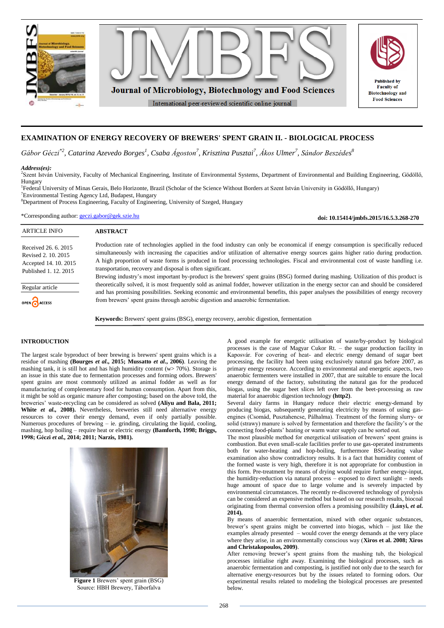

# **EXAMINATION OF ENERGY RECOVERY OF BREWERS' SPENT GRAIN II. - BIOLOGICAL PROCESS**

*Gábor Géczi\*2 , Catarina Azevedo Borges<sup>1</sup> , Csaba Ágoston<sup>7</sup> , Krisztina Pusztai<sup>7</sup> , Ákos Ulmer<sup>7</sup> , Sándor Beszédes 8*

### *Address(es):*

2 Szent István University, Faculty of Mechanical Engineering, Institute of Environmental Systems, Department of Environmental and Building Engineering, Gödöllő, Hungary

1 Federal University of Minas Gerais, Belo Horizonte, Brazil (Scholar of the Science Without Borders at Szent István University in Gödöllő, Hungary) <sup>7</sup>Environmental Testing Agency Ltd, Budapest, Hungary

<sup>8</sup>Department of Process Engineering, Faculty of Engineering, University of Szeged, Hungary

\*Corresponding author: [geczi.gabor@gek.szie.hu](mailto:geczi.gabor@gek.szie.hu)

**doi: 10.15414/jmbfs.2015/16.5.3.268-270**

| <b>ARTICLE INFO</b>                                                                           | <b>ABSTRACT</b>                                                                                                                                                                                                                                                                                                                                                                                                                                                                                                 |
|-----------------------------------------------------------------------------------------------|-----------------------------------------------------------------------------------------------------------------------------------------------------------------------------------------------------------------------------------------------------------------------------------------------------------------------------------------------------------------------------------------------------------------------------------------------------------------------------------------------------------------|
| Received 26, 6, 2015<br>Revised 2, 10, 2015<br>Accepted 14, 10, 2015<br>Published 1, 12, 2015 | Production rate of technologies applied in the food industry can only be economical if energy consumption is specifically reduced<br>simultaneously with increasing the capacities and/or utilization of alternative energy sources gains higher ratio during production.<br>A high proportion of waste forms is produced in food processing technologies. Fiscal and environmental cost of waste handling i.e.<br>transportation, recovery and disposal is often significant.                                  |
| Regular article<br>OPEN CACCESS                                                               | Brewing industry's most important by-product is the brewers' spent grains (BSG) formed during mashing. Utilization of this product is<br>theoretically solved, it is most frequently sold as animal fodder, however utilization in the energy sector can and should be considered<br>and has promising possibilities. Seeking economic and environmental benefits, this paper analyses the possibilities of energy recovery<br>from brewers' spent grains through aerobic digestion and anaerobic fermentation. |

**Keywords:** Brewers' spent grains (BSG), energy recovery, aerobic digestion, fermentation

## **INTRODUCTION**

The largest scale byproduct of beer brewing is brewers' spent grains which is a residue of mashing **(Bourges** *et al***., 2015; Mussatto** *et al***., 2006)**. Leaving the mashing tank, it is still hot and has high humidity content ( $w$  70%). Storage is an issue in this state due to fermentation processes and forming odors. Brewers' spent grains are most commonly utilized as animal fodder as well as for manufacturing of complementary food for human consumption. Apart from this, it might be sold as organic manure after composting; based on the above told, the breweries' waste-recycling can be considered as solved **(Aliyu and Bala, 2011;**  White *et al.*, 2008). Nevertheless, breweries still need alternative energy resources to cover their energy demand, even if only partially possible. Numerous procedures of brewing – ie. grinding, circulating the liquid, cooling, mashing, hop boiling – require heat or electric energy **(Bamforth, 1998; Briggs, 1998; Géczi** *et al.,* **2014; 2011; Narzis, 1981).**



**Figure 1** Brewers' spent grain (BSG) Source: HBH Brewery, Táborfalva

A good example for energetic utilisation of waste/by-product by biological processes is the case of Magyar Cukor Rt. – the sugar production facility in Kaposvár. For covering of heat- and electric energy demand of sugar beet processing, the facility had been using exclusively natural gas before 2007, as primary energy resource. According to environmental and energetic aspects, two anaerobic fermenters were installed in 2007, that are suitable to ensure the local energy demand of the factory, substituting the natural gas for the produced biogas, using the sugar beet slices left over from the beet-processing as raw material for anaerobic digestion technology **(http2)**.

Several dairy farms in Hungary reduce their electric energy-demand by producing biogas, subsequently generating electricity by means of using gasengines (Csomád, Pusztahencse, Pálhalma). Treatment of the forming slurry- or solid (strawy) manure is solved by fermentation and therefore the facility's or the connecting food-plants' heating or warm water supply can be sorted out.

The most plausible method for energetical utilisation of brewers' spent grains is combustion. But even small-scale facilities prefer to use gas-operated instruments both for water-heating and hop-boiling, furthermore BSG-heating value examination also show contradictory results. It is a fact that humidity content of the formed waste is very high, therefore it is not appropriate for combustion in this form. Pre-treatment by means of drying would require further energy-input, the humidity-reduction via natural process – exposed to direct sunlight – needs huge amount of space due to large volume and is severely impacted by environmental circumstances. The recently re-discovered technology of pyrolysis can be considered an expensive method but based on our research results, biocoal originating from thermal conversion offers a promising possibility **(Lányi,** *et al***. 2014).**

By means of anaerobic fermentation, mixed with other organic substances, brewer's spent grains might be converted into biogas, which – just like the examples already presented – would cover the energy demands at the very place where they arise, in an environmentally conscious way (**Xiros et al. 2008; Xiros and Christakopoulos, 2009)**.

After removing brewer's spent grains from the mashing tub, the biological processes initialise right away. Examining the biological processes, such as anaerobic fermentation and composting, is justified not only due to the search for alternative energy-resources but by the issues related to forming odors. Our experimental results related to modeling the biological processes are presented below.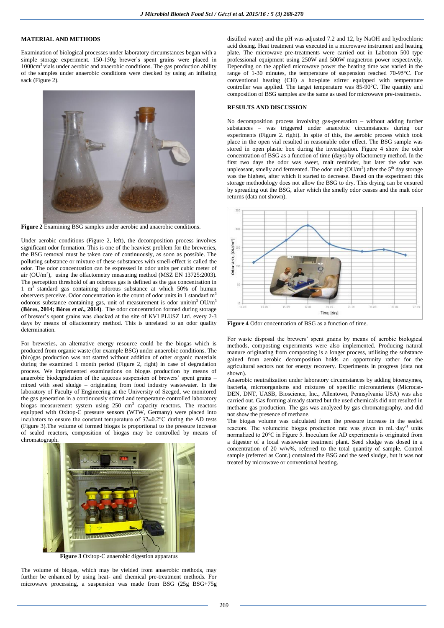# **MATERIAL AND METHODS**

Examination of biological processes under laboratory circumstances began with a simple storage experiment. 150-150g brewer's spent grains were placed in  $1000 \text{cm}^3$  vials under aerobic and anaerobic conditions. The gas production ability of the samples under anaerobic conditions were checked by using an inflating sack (Figure 2).



**Figure 2** Examining BSG samples under aerobic and anaerobic conditions.

Under aerobic conditions (Figure 2, left), the decomposition process involves significant odor formation. This is one of the heaviest problem for the breweries, the BSG removal must be taken care of continuously, as soon as possible. The polluting substance or mixture of these substances with smell-effect is called the odor. The odor concentration can be expressed in odor units per cubic meter of air  $(OU/m<sup>3</sup>)$ , using the olfactometry measuring method (MSZ EN 13725:2003). The perception threshold of an odorous gas is defined as the gas concentration in 1 m<sup>3</sup> standard gas containing odorous substance at which 50% of human observers perceive. Odor concentration is the count of odor units in 1 standard  $m<sup>3</sup>$ odorous substance containing gas, unit of measurement is odor unit/m<sup>3</sup> OU/m<sup>3</sup> **(Béres, 2014; Béres** *et al.***, 2014)**. The odor concentration formed during storage of brewer's spent grains was checked at the site of KVI PLUSZ Ltd. every 2-3 days by means of olfactometry method. This is unrelated to an odor quality determination.

For breweries, an alternative energy resource could be the biogas which is produced from organic waste (for example BSG) under anaerobic conditions. The (bio)gas production was not started without addition of other organic materials during the examined 1 month period (Figure 2, right) in case of degradation process. We implemented examinations on biogas production by means of anaerobic biodegradation of the aqueous suspension of brewers' spent grains – mixed with seed sludge – originating from food industry wastewater. In the laboratory of Faculty of Engineering at the University of Szeged, we monitored the gas generation in a continuously stirred and temperature controlled laboratory biogas measurement system using 250 cm<sup>3</sup> capacity reactors. The reactors equipped with Oxitop-C pressure sensors (WTW, Germany) were placed into incubators to ensure the constant temperature of 37±0.2°C during the AD tests (Figure 3).The volume of formed biogas is proportional to the pressure increase of sealed reactors, composition of biogas may be controlled by means of chromatograph.



**Figure 3** Oxitop-C anaerobic digestion apparatus

The volume of biogas, which may be yielded from anaerobic methods, may further be enhanced by using heat- and chemical pre-treatment methods. For microwave processing, a suspension was made from BSG (25g BSG+75g distilled water) and the pH was adjusted 7.2 and 12, by NaOH and hydrochloric acid dosing. Heat treatment was executed in a microwave instrument and heating plate. The microwave pre-treatments were carried out in Labotron 500 type professional equipment using 250W and 500W magnetron power respectively. Depending on the applied microwave power the heating time was varied in the range of 1-30 minutes, the temperature of suspension reached 70-95°C. For conventional heating (CH) a hot-plate stirrer equipped with temperature controller was applied. The target temperature was 85-90°C. The quantity and composition of BSG samples are the same as used for microwave pre-treatments.

## **RESULTS AND DISCUSSION**

No decomposition process involving gas-generation – without adding further substances – was triggered under anaerobic circumstances during our experiments (Figure 2. right). In spite of this, the aerobic process which took place in the open vial resulted in reasonable odor effect. The BSG sample was stored in open plastic box during the investigation. Figure 4 show the odor concentration of BSG as a function of time (days) by olfactometry method. In the first two days the odor was sweet, malt reminder, but later the odor was unpleasant, smelly and fermented. The odor unit  $(OU/m^3)$  after the  $5<sup>th</sup>$  day storage was the highest, after which it started to decrease. Based on the experiment this storage methodology does not allow the BSG to dry. This drying can be ensured by spreading out the BSG, after which the smelly odor ceases and the malt odor returns (data not shown).



**Figure 4** Odor concentration of BSG as a function of time.

For waste disposal the brewers' spent grains by means of aerobic biological methods, composting experiments were also implemented. Producing natural manure originating from composting is a longer process, utilising the substance gained from aerobic decomposition holds an opportunity rather for the agricultural sectors not for energy recovery. Experiments in progress (data not shown).

Anaerobic neutralization under laboratory circumstances by adding bioenzymes, bacteria, microorganisms and mixtures of specific micronutrients (Microcat-DEN, DNT, UASB, Bioscience, Inc., Allentown, Pennsylvania USA) was also carried out. Gas forming already started but the used chemicals did not resulted in methane gas production. The gas was analyzed by gas chromatography, and did not show the presence of methane.

The biogas volume was calculated from the pressure increase in the sealed reactors. The volumetric biogas production rate was given in mL·day<sup>-1</sup> units normalized to 20°C in Figure 5. Inoculum for AD experiments is originated from a digester of a local wastewater treatment plant. Seed sludge was dosed in a concentration of 20 w/w%, referred to the total quantity of sample. Control sample (referred as Cont.) contained the BSG and the seed sludge, but it was not treated by microwave or conventional heating.